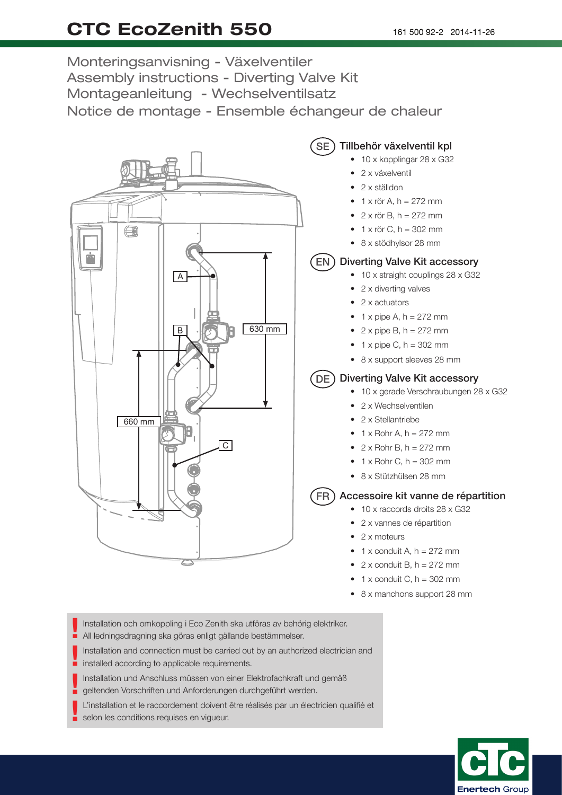## CTC EcoZenith 550

Monteringsanvisning - Växelventiler Assembly instructions - Diverting Valve Kit Montageanleitung - Wechselventilsatz Notice de montage - Ensemble échangeur de chaleur



- 1 x conduit C,  $h = 302$  mm
- 8 x manchons support 28 mm

Installation och omkoppling i Eco Zenith ska utföras av behörig elektriker. All ledningsdragning ska göras enligt gällande bestämmelser. !

Installation and connection must be carried out by an authorized electrician and If you four in good agrifing one gones oring t generated<br>Installation and connection must be carried our installed according to applicable requirements.

Installation und Anschluss müssen von einer Elektrofachkraft und gemäß !

geltenden Vorschriften und Anforderungen durchgeführt werden.

L'installation et le raccordement doivent être réalisés par un électricien qualifié et selon les conditions requises en vigueur. !

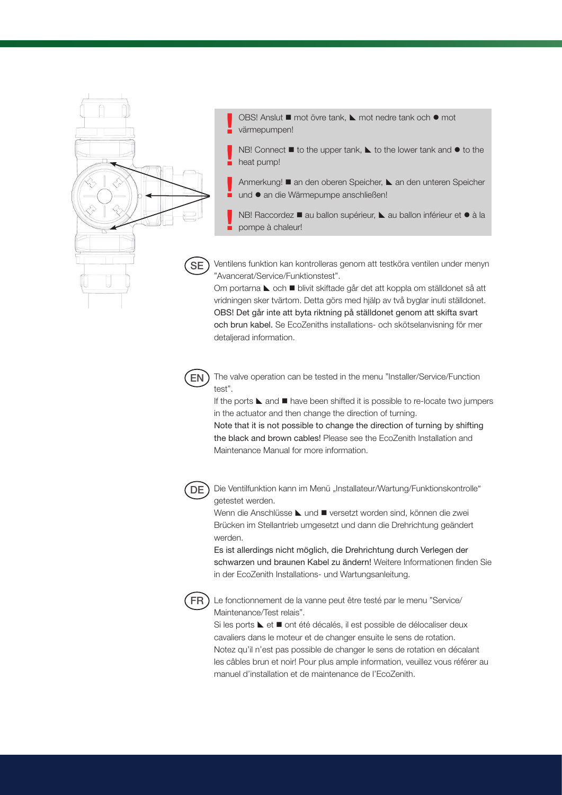

OBS! Anslut ■ mot övre tank, 
L mot nedre tank och ● mot värmepumpen! !

NB! Connect  $\blacksquare$  to the upper tank,  $\blacktriangleright$  to the lower tank and  $\blacklozenge$  to the heat pump! !

- Anmerkung! an den oberen Speicher, L an den unteren Speicher und ● an die Wärmepumpe anschließen! !
- NB! Raccordez au ballon supérieur, L au ballon inférieur et à la pompe à chaleur! !

Ventilens funktion kan kontrolleras genom att testköra ventilen under menyn "Avancerat/Service/Funktionstest".

Om portarna ► och ■ blivit skiftade går det att koppla om ställdonet så att vridningen sker tvärtom. Detta görs med hjälp av två byglar inuti ställdonet. OBS! Det går inte att byta riktning på ställdonet genom att skifta svart och brun kabel. Se EcoZeniths installations- och skötselanvisning för mer detaljerad information.



The valve operation can be tested in the menu "Installer/Service/Function test".

If the ports  $\blacktriangle$  and  $\blacksquare$  have been shifted it is possible to re-locate two jumpers in the actuator and then change the direction of turning.

Note that it is not possible to change the direction of turning by shifting the black and brown cables! Please see the EcoZenith Installation and Maintenance Manual for more information.



Die Ventilfunktion kann im Menü "Installateur/Wartung/Funktionskontrolle" getestet werden.

Wenn die Anschlüsse Lund **U**versetzt worden sind, können die zwei Brücken im Stellantrieb umgesetzt und dann die Drehrichtung geändert werden.

Es ist allerdings nicht möglich, die Drehrichtung durch Verlegen der schwarzen und braunen Kabel zu ändern! Weitere Informationen finden Sie in der EcoZenith Installations- und Wartungsanleitung.



Le fonctionnement de la vanne peut être testé par le menu "Service/ Maintenance/Test relais".

Si les ports  $\blacktriangle$  et  $\blacksquare$  ont été décalés, il est possible de délocaliser deux cavaliers dans le moteur et de changer ensuite le sens de rotation. Notez qu'il n'est pas possible de changer le sens de rotation en décalant les câbles brun et noir! Pour plus ample information, veuillez vous référer au manuel d'installation et de maintenance de l'EcoZenith.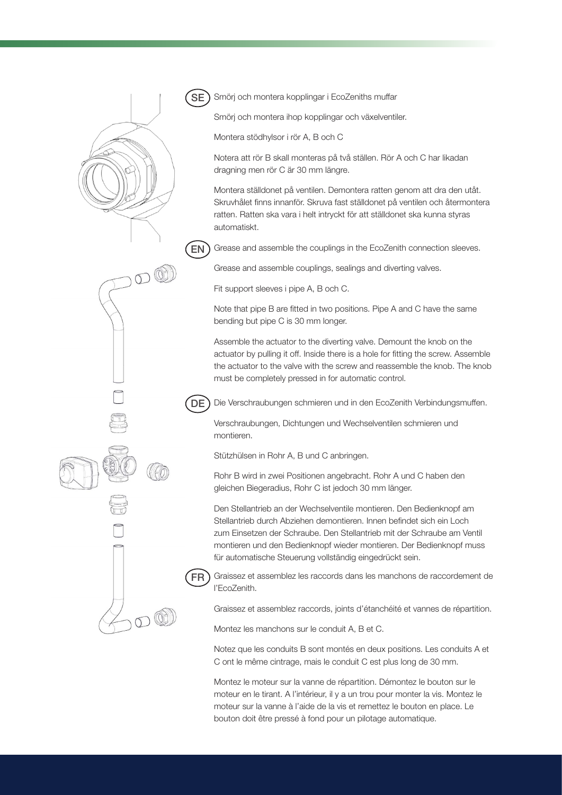

Smörj och montera kopplingar i EcoZeniths muffar

Smörj och montera ihop kopplingar och växelventiler.

Montera stödhylsor i rör A, B och C

Notera att rör B skall monteras på två ställen. Rör A och C har likadan dragning men rör C är 30 mm längre.

Montera ställdonet på ventilen. Demontera ratten genom att dra den utåt. Skruvhålet inns innanför. Skruva fast ställdonet på ventilen och återmontera ratten. Ratten ska vara i helt intryckt för att ställdonet ska kunna styras automatiskt.

Grease and assemble the couplings in the EcoZenith connection sleeves. EN

Grease and assemble couplings, sealings and diverting valves.

Fit support sleeves i pipe A, B och C.

Note that pipe B are fitted in two positions. Pipe A and C have the same bending but pipe C is 30 mm longer.

Assemble the actuator to the diverting valve. Demount the knob on the actuator by pulling it off. Inside there is a hole for itting the screw. Assemble the actuator to the valve with the screw and reassemble the knob. The knob must be completely pressed in for automatic control.

Die Verschraubungen schmieren und in den EcoZenith Verbindungsmuffen.

Verschraubungen, Dichtungen und Wechselventilen schmieren und montieren.

Stützhülsen in Rohr A, B und C anbringen.

Rohr B wird in zwei Positionen angebracht. Rohr A und C haben den gleichen Biegeradius, Rohr C ist jedoch 30 mm länger.

Den Stellantrieb an der Wechselventile montieren. Den Bedienknopf am Stellantrieb durch Abziehen demontieren. Innen befindet sich ein Loch zum Einsetzen der Schraube. Den Stellantrieb mit der Schraube am Ventil montieren und den Bedienknopf wieder montieren. Der Bedienknopf muss für automatische Steuerung vollständig eingedrückt sein.

Graissez et assemblez les raccords dans les manchons de raccordement de l'EcoZenith.

Graissez et assemblez raccords, joints d'étanchéité et vannes de répartition.

Montez les manchons sur le conduit A, B et C.

Notez que les conduits B sont montés en deux positions. Les conduits A et C ont le même cintrage, mais le conduit C est plus long de 30 mm.

Montez le moteur sur la vanne de répartition. Démontez le bouton sur le moteur en le tirant. A l'intérieur, il y a un trou pour monter la vis. Montez le moteur sur la vanne à l'aide de la vis et remettez le bouton en place. Le bouton doit être pressé à fond pour un pilotage automatique.